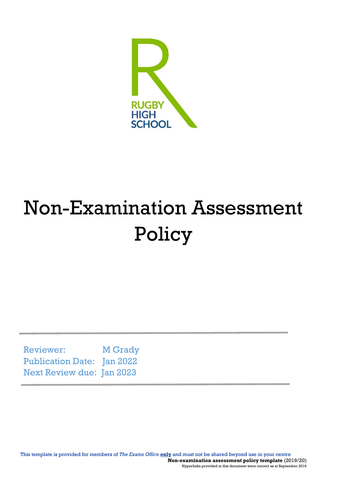

# Non-Examination Assessment Policy

Reviewer: M Grady Publication Date: Jan 2022 Next Review due: Jan 2023

This template is provided for members of *The Exams Office* **only** and must not be shared beyond use in your centre **Non-examination assessment policy template** (2019/20) Hyperlinks provided in this document were correct as at September 2019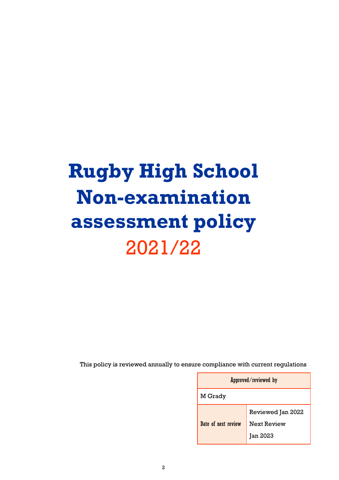# **Rugby High School Non-examination assessment policy** 2021/22

This policy is reviewed annually to ensure compliance with current regulations

| Approved/reviewed by |                    |  |
|----------------------|--------------------|--|
| M Grady              |                    |  |
|                      | Reviewed Jan 2022  |  |
| Date of next review  | <b>Next Review</b> |  |
|                      | <b>Jan 2023</b>    |  |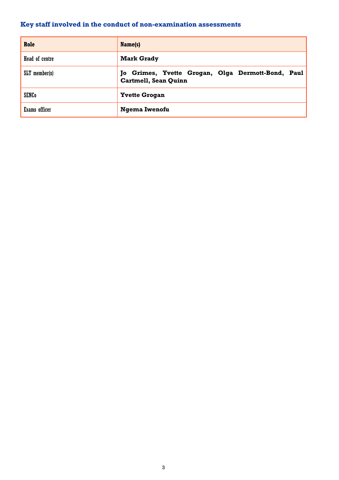# <span id="page-2-0"></span>**Key staff involved in the conduct of non-examination assessments**

| Role            | Name(s)                                                                      |
|-----------------|------------------------------------------------------------------------------|
| Head of centre  | <b>Mark Grady</b>                                                            |
| $SLT$ member(s) | Grimes, Yvette Grogan, Olga Dermott-Bond, Paul<br>To<br>Cartmell, Sean Quinn |
| <b>SENCo</b>    | <b>Yvette Grogan</b>                                                         |
| Exams officer   | Ngema Iwenofu                                                                |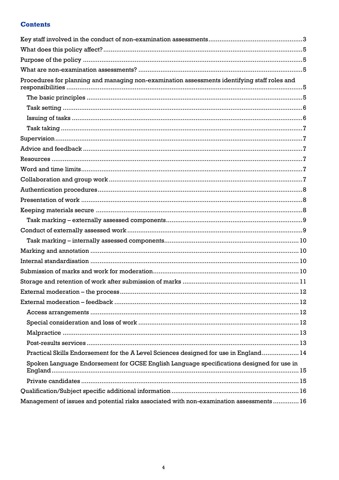# **Contents**

| Procedures for planning and managing non-examination assessments identifying staff roles and<br>Practical Skills Endorsement for the A Level Sciences designed for use in England 14<br>Spoken Language Endorsement for GCSE English Language specifications designed for use in<br>Management of issues and potential risks associated with non-examination assessments  16 |  |
|------------------------------------------------------------------------------------------------------------------------------------------------------------------------------------------------------------------------------------------------------------------------------------------------------------------------------------------------------------------------------|--|
|                                                                                                                                                                                                                                                                                                                                                                              |  |
|                                                                                                                                                                                                                                                                                                                                                                              |  |
|                                                                                                                                                                                                                                                                                                                                                                              |  |
|                                                                                                                                                                                                                                                                                                                                                                              |  |
|                                                                                                                                                                                                                                                                                                                                                                              |  |
|                                                                                                                                                                                                                                                                                                                                                                              |  |
|                                                                                                                                                                                                                                                                                                                                                                              |  |
|                                                                                                                                                                                                                                                                                                                                                                              |  |
|                                                                                                                                                                                                                                                                                                                                                                              |  |
|                                                                                                                                                                                                                                                                                                                                                                              |  |
|                                                                                                                                                                                                                                                                                                                                                                              |  |
|                                                                                                                                                                                                                                                                                                                                                                              |  |
|                                                                                                                                                                                                                                                                                                                                                                              |  |
|                                                                                                                                                                                                                                                                                                                                                                              |  |
|                                                                                                                                                                                                                                                                                                                                                                              |  |
|                                                                                                                                                                                                                                                                                                                                                                              |  |
|                                                                                                                                                                                                                                                                                                                                                                              |  |
|                                                                                                                                                                                                                                                                                                                                                                              |  |
|                                                                                                                                                                                                                                                                                                                                                                              |  |
|                                                                                                                                                                                                                                                                                                                                                                              |  |
|                                                                                                                                                                                                                                                                                                                                                                              |  |
|                                                                                                                                                                                                                                                                                                                                                                              |  |
|                                                                                                                                                                                                                                                                                                                                                                              |  |
|                                                                                                                                                                                                                                                                                                                                                                              |  |
|                                                                                                                                                                                                                                                                                                                                                                              |  |
|                                                                                                                                                                                                                                                                                                                                                                              |  |
|                                                                                                                                                                                                                                                                                                                                                                              |  |
|                                                                                                                                                                                                                                                                                                                                                                              |  |
|                                                                                                                                                                                                                                                                                                                                                                              |  |
|                                                                                                                                                                                                                                                                                                                                                                              |  |
|                                                                                                                                                                                                                                                                                                                                                                              |  |
|                                                                                                                                                                                                                                                                                                                                                                              |  |
|                                                                                                                                                                                                                                                                                                                                                                              |  |
|                                                                                                                                                                                                                                                                                                                                                                              |  |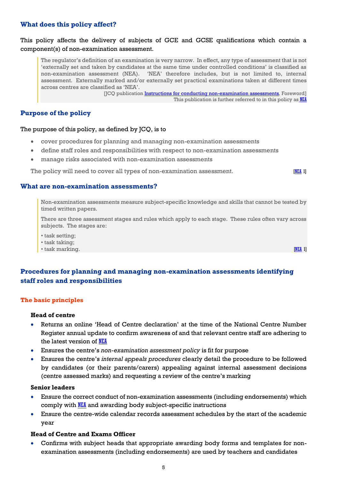## <span id="page-4-0"></span>**What does this policy affect?**

## This policy affects the delivery of subjects of GCE and GCSE qualifications which contain a component(s) of non-examination assessment.

The regulator's definition of an examination is very narrow. In effect, any type of assessment that is not 'externally set and taken by candidates at the same time under controlled conditions' is classified as non-examination assessment (NEA). 'NEA' therefore includes, but is not limited to, internal assessment. Externally marked and/or externally set practical examinations taken at different times across centres are classified as 'NEA'.

> [JCQ publication [Instructions for conducting non-examination assessments](http://www.jcq.org.uk/exams-office/non-examination-assessments)*,* Foreword] This publication is further referred to in this policy as [NEA](http://www.jcq.org.uk/exams-office/non-examination-assessments)

# <span id="page-4-1"></span>**Purpose of the policy**

#### The purpose of this policy, as defined by JCQ, is to

- cover procedures for planning and managing non-examination assessments
- define staff roles and responsibilities with respect to non-examination assessments
- manage risks associated with non-examination assessments

The policy will need to cover all types of non-examination assessment. **[\[NEA](http://www.jcq.org.uk/exams-office/non-examination-assessments) 1]** 

#### <span id="page-4-2"></span>**What are non-examination assessments?**

Non-examination assessments measure subject-specific knowledge and skills that cannot be tested by timed written papers.

There are three assessment stages and rules which apply to each stage. These rules often vary across subjects. The stages are:

• task setting;

• task taking;

 $\bullet$  task marking.  $\blacksquare$ 

# <span id="page-4-3"></span>**Procedures for planning and managing non-examination assessments identifying staff roles and responsibilities**

#### <span id="page-4-4"></span>**The basic principles**

#### **Head of centre**

- Returns an online 'Head of Centre declaration' at the time of the National Centre Number Register annual update to confirm awareness of and that relevant centre staff are adhering to the latest version of [NEA](http://www.jcq.org.uk/exams-office/non-examination-assessments)
- Ensures the centre's *non-examination assessment policy* is fit for purpose
- Ensures the centre's *internal appeals procedures* clearly detail the procedure to be followed by candidates (or their parents/carers) appealing against internal assessment decisions (centre assessed marks) and requesting a review of the centre's marking

#### **Senior leaders**

- Ensure the correct conduct of non-examination assessments (including endorsements) which comply with [NEA](http://www.jcq.org.uk/exams-office/non-examination-assessments) and awarding body subject-specific instructions
- Ensure the centre-wide calendar records assessment schedules by the start of the academic year

## **Head of Centre and Exams Officer**

 Confirms with subject heads that appropriate awarding body forms and templates for nonexamination assessments (including endorsements) are used by teachers and candidates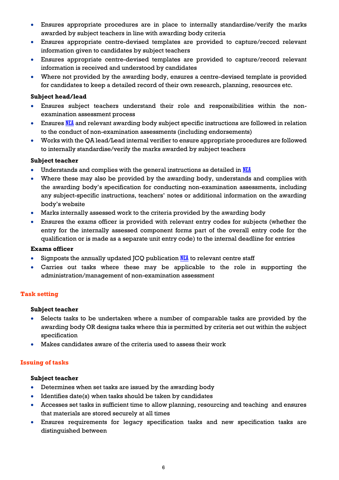- Ensures appropriate procedures are in place to internally standardise/verify the marks awarded by subject teachers in line with awarding body criteria
- Ensures appropriate centre-devised templates are provided to capture/record relevant information given to candidates by subject teachers
- Ensures appropriate centre-devised templates are provided to capture/record relevant information is received and understood by candidates
- Where not provided by the awarding body, ensures a centre-devised template is provided for candidates to keep a detailed record of their own research, planning, resources etc.

## **Subject head/lead**

- Ensures subject teachers understand their role and responsibilities within the nonexamination assessment process
- **Ensures [NEA](http://www.jcq.org.uk/exams-office/non-examination-assessments)** and relevant awarding body subject specific instructions are followed in relation to the conduct of non-examination assessments (including endorsements)
- Works with the QA lead/Lead internal verifier to ensure appropriate procedures are followed to internally standardise/verify the marks awarded by subject teachers

## **Subject teacher**

- Understands and complies with the general instructions as detailed in [NEA](http://www.jcq.org.uk/exams-office/non-examination-assessments)
- Where these may also be provided by the awarding body, understands and complies with the awarding body's specification for conducting non-examination assessments, including any subject-specific instructions, teachers' notes or additional information on the awarding body's website
- Marks internally assessed work to the criteria provided by the awarding body
- Ensures the exams officer is provided with relevant entry codes for subjects (whether the entry for the internally assessed component forms part of the overall entry code for the qualification or is made as a separate unit entry code) to the internal deadline for entries

## **Exams officer**

- Signposts the annually updated JCQ publication  $NEL$  to relevant centre staff
- Carries out tasks where these may be applicable to the role in supporting the administration/management of non-examination assessment

# <span id="page-5-0"></span>**Task setting**

## **Subject teacher**

- Selects tasks to be undertaken where a number of comparable tasks are provided by the awarding body OR designs tasks where this is permitted by criteria set out within the subject specification
- Makes candidates aware of the criteria used to assess their work

## <span id="page-5-1"></span>**Issuing of tasks**

- Determines when set tasks are issued by the awarding body
- $\bullet$  Identifies date(s) when tasks should be taken by candidates
- Accesses set tasks in sufficient time to allow planning, resourcing and teaching and ensures that materials are stored securely at all times
- Ensures requirements for legacy specification tasks and new specification tasks are distinguished between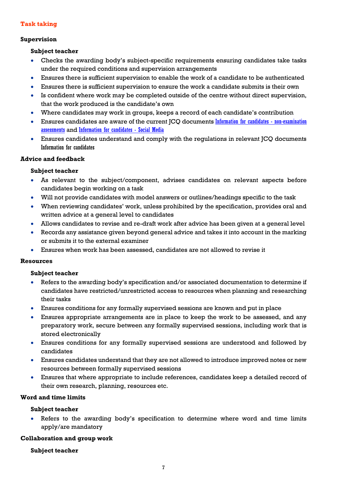## <span id="page-6-0"></span>**Task taking**

#### <span id="page-6-1"></span>**Supervision**

#### **Subject teacher**

- Checks the awarding body's subject-specific requirements ensuring candidates take tasks under the required conditions and supervision arrangements
- Ensures there is sufficient supervision to enable the work of a candidate to be authenticated
- Ensures there is sufficient supervision to ensure the work a candidate submits is their own
- Is confident where work may be completed outside of the centre without direct supervision, that the work produced is the candidate's own
- Where candidates may work in groups, keeps a record of each candidate's contribution
- Ensures candidates are aware of the current JCQ documents [Information for candidates -](http://www.jcq.org.uk/exams-office/information-for-candidates-documents) non-examination [assessments](http://www.jcq.org.uk/exams-office/information-for-candidates-documents) and [Information for candidates -](http://www.jcq.org.uk/exams-office/information-for-candidates-documents) Social Media
- Ensures candidates understand and comply with the regulations in relevant JCQ documents Information for candidates

## <span id="page-6-2"></span>**Advice and feedback**

#### **Subject teacher**

- As relevant to the subject/component, advises candidates on relevant aspects before candidates begin working on a task
- Will not provide candidates with model answers or outlines/headings specific to the task
- When reviewing candidates' work, unless prohibited by the specification, provides oral and written advice at a general level to candidates
- Allows candidates to revise and re-draft work after advice has been given at a general level
- Records any assistance given beyond general advice and takes it into account in the marking or submits it to the external examiner
- Ensures when work has been assessed, candidates are not allowed to revise it

#### <span id="page-6-3"></span>**Resources**

#### **Subject teacher**

- Refers to the awarding body's specification and/or associated documentation to determine if candidates have restricted/unrestricted access to resources when planning and researching their tasks
- Ensures conditions for any formally supervised sessions are known and put in place
- Ensures appropriate arrangements are in place to keep the work to be assessed, and any preparatory work, secure between any formally supervised sessions, including work that is stored electronically
- Ensures conditions for any formally supervised sessions are understood and followed by candidates
- Ensures candidates understand that they are not allowed to introduce improved notes or new resources between formally supervised sessions
- Ensures that where appropriate to include references, candidates keep a detailed record of their own research, planning, resources etc.

## <span id="page-6-4"></span>**Word and time limits**

## **Subject teacher**

 Refers to the awarding body's specification to determine where word and time limits apply/are mandatory

#### <span id="page-6-5"></span>**Collaboration and group work**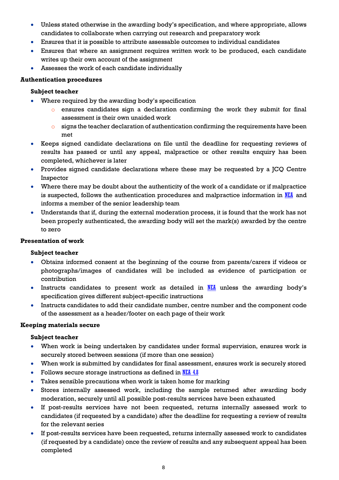- Unless stated otherwise in the awarding body's specification, and where appropriate, allows candidates to collaborate when carrying out research and preparatory work
- Ensures that it is possible to attribute assessable outcomes to individual candidates
- Ensures that where an assignment requires written work to be produced, each candidate writes up their own account of the assignment
- Assesses the work of each candidate individually

#### <span id="page-7-0"></span>**Authentication procedures**

#### **Subject teacher**

- Where required by the awarding body's specification
	- o ensures candidates sign a declaration confirming the work they submit for final assessment is their own unaided work
	- $\circ$  signs the teacher declaration of authentication confirming the requirements have been met
- Keeps signed candidate declarations on file until the deadline for requesting reviews of results has passed or until any appeal, malpractice or other results enquiry has been completed, whichever is later
- Provides signed candidate declarations where these may be requested by a JCQ Centre Inspector
- Where there may be doubt about the authenticity of the work of a candidate or if malpractice is suspected, follows the authentication procedures and malpractice information in  $NEL$  and informs a member of the senior leadership team
- Understands that if, during the external moderation process, it is found that the work has not been properly authenticated, the awarding body will set the mark(s) awarded by the centre to zero

#### <span id="page-7-1"></span>**Presentation of work**

## **Subject teacher**

- Obtains informed consent at the beginning of the course from parents/carers if videos or photographs/images of candidates will be included as evidence of participation or contribution
- $\bullet$  Instructs candidates to present work as detailed in [NEA](http://www.jcq.org.uk/exams-office/non-examination-assessments) unless the awarding body's specification gives different subject-specific instructions
- Instructs candidates to add their candidate number, centre number and the component code of the assessment as a header/footer on each page of their work

#### <span id="page-7-2"></span>**Keeping materials secure**

- When work is being undertaken by candidates under formal supervision, ensures work is securely stored between sessions (if more than one session)
- When work is submitted by candidates for final assessment, ensures work is securely stored
- Follows secure storage instructions as defined in [NEA](http://www.jcq.org.uk/exams-office/non-examination-assessments) 4.8
- Takes sensible precautions when work is taken home for marking
- Stores internally assessed work, including the sample returned after awarding body moderation, securely until all possible post-results services have been exhausted
- If post-results services have not been requested, returns internally assessed work to candidates (if requested by a candidate) after the deadline for requesting a review of results for the relevant series
- If post-results services have been requested, returns internally assessed work to candidates (if requested by a candidate) once the review of results and any subsequent appeal has been completed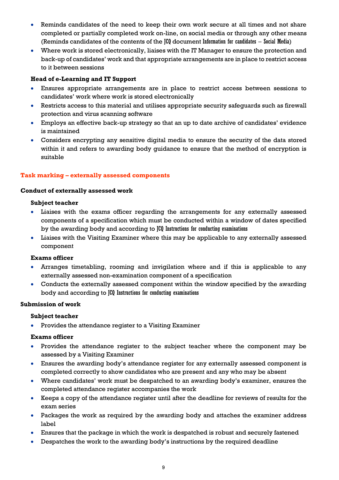- Reminds candidates of the need to keep their own work secure at all times and not share completed or partially completed work on-line, on social media or through any other means (Reminds candidates of the contents of the JCQ document Information for candidates – Social Media)
- Where work is stored electronically, liaises with the IT Manager to ensure the protection and back-up of candidates' work and that appropriate arrangements are in place to restrict access to it between sessions

## **Head of e-Learning and IT Support**

- Ensures appropriate arrangements are in place to restrict access between sessions to candidates' work where work is stored electronically
- Restricts access to this material and utilises appropriate security safeguards such as firewall protection and virus scanning software
- Employs an effective back-up strategy so that an up to date archive of candidates' evidence is maintained
- Considers encrypting any sensitive digital media to ensure the security of the data stored within it and refers to awarding body guidance to ensure that the method of encryption is suitable

## <span id="page-8-0"></span>**Task marking – externally assessed components**

#### <span id="page-8-1"></span>**Conduct of externally assessed work**

#### **Subject teacher**

- Liaises with the exams officer regarding the arrangements for any externally assessed components of a specification which must be conducted within a window of dates specified by the awarding body and according to JCQ Instructions for conducting examinations
- Liaises with the Visiting Examiner where this may be applicable to any externally assessed component

## **Exams officer**

- Arranges timetabling, rooming and invigilation where and if this is applicable to any externally assessed non-examination component of a specification
- Conducts the externally assessed component within the window specified by the awarding body and according to JCQ Instructions for conducting examinations

## **Submission of work**

## **Subject teacher**

• Provides the attendance register to a Visiting Examiner

#### **Exams officer**

- Provides the attendance register to the subject teacher where the component may be assessed by a Visiting Examiner
- Ensures the awarding body's attendance register for any externally assessed component is completed correctly to show candidates who are present and any who may be absent
- Where candidates' work must be despatched to an awarding body's examiner, ensures the completed attendance register accompanies the work
- Keeps a copy of the attendance register until after the deadline for reviews of results for the exam series
- Packages the work as required by the awarding body and attaches the examiner address label
- Ensures that the package in which the work is despatched is robust and securely fastened
- Despatches the work to the awarding body's instructions by the required deadline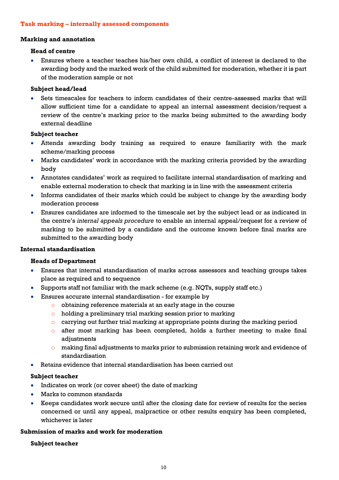#### <span id="page-9-0"></span>**Task marking – internally assessed components**

#### <span id="page-9-1"></span>**Marking and annotation**

#### **Head of centre**

 Ensures where a teacher teaches his/her own child, a conflict of interest is declared to the awarding body and the marked work of the child submitted for moderation, whether it is part of the moderation sample or not

#### **Subject head/lead**

 Sets timescales for teachers to inform candidates of their centre-assessed marks that will allow sufficient time for a candidate to appeal an internal assessment decision/request a review of the centre's marking prior to the marks being submitted to the awarding body external deadline

#### **Subject teacher**

- Attends awarding body training as required to ensure familiarity with the mark scheme/marking process
- Marks candidates' work in accordance with the marking criteria provided by the awarding body
- Annotates candidates' work as required to facilitate internal standardisation of marking and enable external moderation to check that marking is in line with the assessment criteria
- Informs candidates of their marks which could be subject to change by the awarding body moderation process
- Ensures candidates are informed to the timescale set by the subject lead or as indicated in the centre's *internal appeals procedure* to enable an internal appeal/request for a review of marking to be submitted by a candidate and the outcome known before final marks are submitted to the awarding body

## <span id="page-9-2"></span>**Internal standardisation**

## **Heads of Department**

- Ensures that internal standardisation of marks across assessors and teaching groups takes place as required and to sequence
- Supports staff not familiar with the mark scheme (e.g. NQTs, supply staff etc.)
- Ensures accurate internal standardisation for example by
	- o obtaining reference materials at an early stage in the course
	- o holding a preliminary trial marking session prior to marking
	- $\circ$  carrying out further trial marking at appropriate points during the marking period
	- o after most marking has been completed, holds a further meeting to make final adjustments
	- $\circ$  making final adjustments to marks prior to submission retaining work and evidence of standardisation
- Retains evidence that internal standardisation has been carried out

## **Subject teacher**

- Indicates on work (or cover sheet) the date of marking
- Marks to common standards
- Keeps candidates work secure until after the closing date for review of results for the series concerned or until any appeal, malpractice or other results enquiry has been completed, whichever is later

## <span id="page-9-3"></span>**Submission of marks and work for moderation**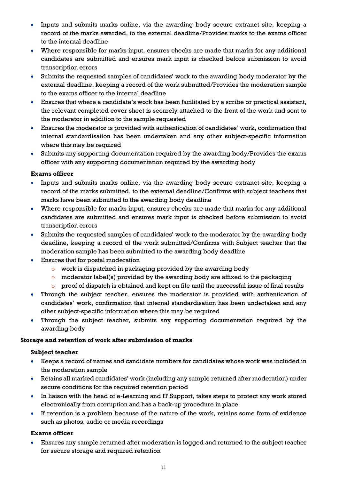- Inputs and submits marks online, via the awarding body secure extranet site, keeping a record of the marks awarded, to the external deadline/Provides marks to the exams officer to the internal deadline
- Where responsible for marks input, ensures checks are made that marks for any additional candidates are submitted and ensures mark input is checked before submission to avoid transcription errors
- Submits the requested samples of candidates' work to the awarding body moderator by the external deadline, keeping a record of the work submitted/Provides the moderation sample to the exams officer to the internal deadline
- Ensures that where a candidate's work has been facilitated by a scribe or practical assistant, the relevant completed cover sheet is securely attached to the front of the work and sent to the moderator in addition to the sample requested
- Ensures the moderator is provided with authentication of candidates' work, confirmation that internal standardisation has been undertaken and any other subject-specific information where this may be required
- Submits any supporting documentation required by the awarding body/Provides the exams officer with any supporting documentation required by the awarding body

# **Exams officer**

- Inputs and submits marks online, via the awarding body secure extranet site, keeping a record of the marks submitted, to the external deadline/Confirms with subject teachers that marks have been submitted to the awarding body deadline
- Where responsible for marks input, ensures checks are made that marks for any additional candidates are submitted and ensures mark input is checked before submission to avoid transcription errors
- Submits the requested samples of candidates' work to the moderator by the awarding body deadline, keeping a record of the work submitted/Confirms with Subject teacher that the moderation sample has been submitted to the awarding body deadline
- Ensures that for postal moderation
	- o work is dispatched in packaging provided by the awarding body
	- $\circ$  moderator label(s) provided by the awarding body are affixed to the packaging
	- o proof of dispatch is obtained and kept on file until the successful issue of final results
- Through the subject teacher, ensures the moderator is provided with authentication of candidates' work, confirmation that internal standardisation has been undertaken and any other subject-specific information where this may be required
- Through the subject teacher, submits any supporting documentation required by the awarding body

## <span id="page-10-0"></span>**Storage and retention of work after submission of marks**

## **Subject teacher**

- Keeps a record of names and candidate numbers for candidates whose work was included in the moderation sample
- Retains all marked candidates' work (including any sample returned after moderation) under secure conditions for the required retention period
- In liaison with the head of e-Learning and IT Support, takes steps to protect any work stored electronically from corruption and has a back-up procedure in place
- If retention is a problem because of the nature of the work, retains some form of evidence such as photos, audio or media recordings

# **Exams officer**

 Ensures any sample returned after moderation is logged and returned to the subject teacher for secure storage and required retention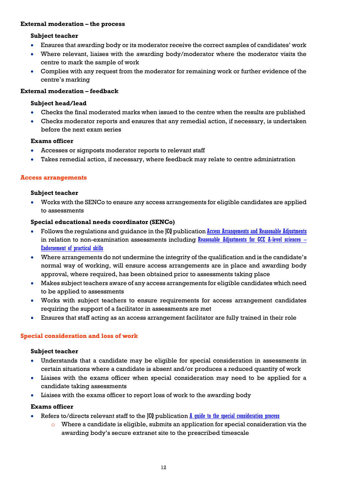#### <span id="page-11-0"></span>**External moderation – the process**

#### **Subject teacher**

- Ensures that awarding body or its moderator receive the correct samples of candidates' work
- Where relevant, liaises with the awarding body/moderator where the moderator visits the centre to mark the sample of work
- Complies with any request from the moderator for remaining work or further evidence of the centre's marking

#### <span id="page-11-1"></span>**External moderation – feedback**

#### **Subject head/lead**

- Checks the final moderated marks when issued to the centre when the results are published
- Checks moderator reports and ensures that any remedial action, if necessary, is undertaken before the next exam series

#### **Exams officer**

- Accesses or signposts moderator reports to relevant staff
- Takes remedial action, if necessary, where feedback may relate to centre administration

#### <span id="page-11-2"></span>**Access arrangements**

#### **Subject teacher**

 Works with the SENCo to ensure any access arrangements for eligible candidates are applied to assessments

## **Special educational needs coordinator (SENCo)**

- Follows the regulations and guidance in the JCQ publication [Access Arrangements and Reasonable Adjustments](http://www.jcq.org.uk/exams-office/access-arrangements-and-special-consideration) in relation to non-examination assessments including [Reasonable Adjustments for GCE A-level sciences](https://www.jcq.org.uk/exams-office/access-arrangements-and-special-consideration/regulations-and-guidance) -[Endorsement of practical skills](https://www.jcq.org.uk/exams-office/access-arrangements-and-special-consideration/regulations-and-guidance)
- Where arrangements do not undermine the integrity of the qualification and is the candidate's normal way of working, will ensure access arrangements are in place and awarding body approval, where required, has been obtained prior to assessments taking place
- Makes subject teachers aware of any access arrangements for eligible candidates which need to be applied to assessments
- Works with subject teachers to ensure requirements for access arrangement candidates requiring the support of a facilitator in assessments are met
- Ensures that staff acting as an access arrangement facilitator are fully trained in their role

## <span id="page-11-3"></span>**Special consideration and loss of work**

#### **Subject teacher**

- Understands that a candidate may be eligible for special consideration in assessments in certain situations where a candidate is absent and/or produces a reduced quantity of work
- Liaises with the exams officer when special consideration may need to be applied for a candidate taking assessments
- Liaises with the exams officer to report loss of work to the awarding body

#### **Exams officer**

- Refers to/directs relevant staff to the  $JQ$  publication  $\overline{A}$  guide to the special consideration process
	- $\circ$  Where a candidate is eligible, submits an application for special consideration via the awarding body's secure extranet site to the prescribed timescale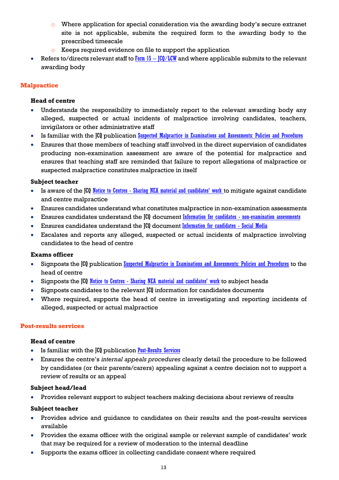- o Where application for special consideration via the awarding body's secure extranet site is not applicable, submits the required form to the awarding body to the prescribed timescale
- o Keeps required evidence on file to support the application
- Refers to/directs relevant staff to  $Form 15 JCQ/LCW$  $Form 15 JCQ/LCW$  $Form 15 JCQ/LCW$  and where applicable submits to the relevant</u> awarding body

## <span id="page-12-0"></span>**Malpractice**

## **Head of centre**

- Understands the responsibility to immediately report to the relevant awarding body any alleged, suspected or actual incidents of malpractice involving candidates, teachers, invigilators or other administrative staff
- Is familiar with the JCQ publication [Suspected Malpractice in Examinations and Assessments: Policies and Procedures](http://www.jcq.org.uk/exams-office/malpractice)
- Ensures that those members of teaching staff involved in the direct supervision of candidates producing non-examination assessment are aware of the potential for malpractice and ensures that teaching staff are reminded that failure to report allegations of malpractice or suspected malpractice constitutes malpractice in itself

## **Subject teacher**

- Is aware of the ICO Notice to Centres [Sharing NEA material and candidates' work](http://www.jcq.org.uk/exams-office/non-examination-assessments) to mitigate against candidate and centre malpractice
- Ensures candidates understand what constitutes malpractice in non-examination assessments
- Ensures candidates understand the JCQ document Information for candidates [non-examination assessments](http://www.jcq.org.uk/exams-office/information-for-candidates-documents)
- Ensures candidates understand the JCQ document [Information for candidates -](http://www.jcq.org.uk/exams-office/information-for-candidates-documents) Social Media
- Escalates and reports any alleged, suspected or actual incidents of malpractice involving candidates to the head of centre

## **Exams officer**

- Signposts the JCQ publication [Suspected Malpractice in Examinations and Assessments: Policies and Procedures](http://www.jcq.org.uk/exams-office/malpractice) to the head of centre
- Signposts the JCQ Notice to Centres [Sharing NEA material and candidates' work](http://www.jcq.org.uk/exams-office/non-examination-assessments) to subject heads
- Signposts candidates to the relevant  $[[0]$  information for candidates documents
- Where required, supports the head of centre in investigating and reporting incidents of alleged, suspected or actual malpractice

## <span id="page-12-1"></span>**Post-results services**

## **Head of centre**

- Is familiar with the JCQ publication [Post-Results Services](https://www.jcq.org.uk/exams-office/post-results-services)
- Ensures the centre's *internal appeals procedures* clearly detail the procedure to be followed by candidates (or their parents/carers) appealing against a centre decision not to support a review of results or an appeal

## **Subject head/lead**

Provides relevant support to subject teachers making decisions about reviews of results

- Provides advice and guidance to candidates on their results and the post-results services available
- Provides the exams officer with the original sample or relevant sample of candidates' work that may be required for a review of moderation to the internal deadline
- Supports the exams officer in collecting candidate consent where required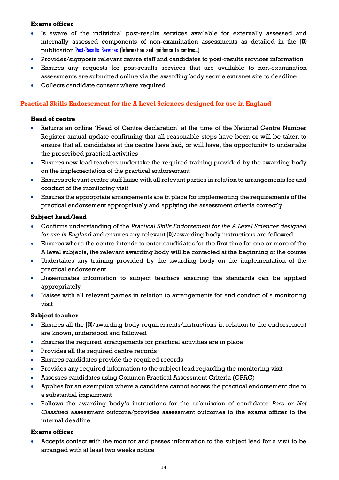#### **Exams officer**

- Is aware of the individual post-results services available for externally assessed and internally assessed components of non-examination assessments as detailed in the JCQ publication [Post-Results Services](https://www.jcq.org.uk/exams-office/post-results-services) (Information and guidance to centres...)
- Provides/signposts relevant centre staff and candidates to post-results services information
- Ensures any requests for post-results services that are available to non-examination assessments are submitted online via the awarding body secure extranet site to deadline
- Collects candidate consent where required

## <span id="page-13-0"></span>**Practical Skills Endorsement for the A Level Sciences designed for use in England**

#### **Head of centre**

- Returns an online 'Head of Centre declaration' at the time of the National Centre Number Register annual update confirming that all reasonable steps have been or will be taken to ensure that all candidates at the centre have had, or will have, the opportunity to undertake the prescribed practical activities
- Ensures new lead teachers undertake the required training provided by the awarding body on the implementation of the practical endorsement
- Ensures relevant centre staff liaise with all relevant parties in relation to arrangements for and conduct of the monitoring visit
- Ensures the appropriate arrangements are in place for implementing the requirements of the practical endorsement appropriately and applying the assessment criteria correctly

#### **Subject head/lead**

- Confirms understanding of the *Practical Skills Endorsement for the A Level Sciences designed for use in England* and ensures any relevant JCQ/awarding body instructions are followed
- Ensures where the centre intends to enter candidates for the first time for one or more of the A level subjects, the relevant awarding body will be contacted at the beginning of the course
- Undertakes any training provided by the awarding body on the implementation of the practical endorsement
- Disseminates information to subject teachers ensuring the standards can be applied appropriately
- Liaises with all relevant parties in relation to arrangements for and conduct of a monitoring visit

#### **Subject teacher**

- Ensures all the JCQ/awarding body requirements/instructions in relation to the endorsement are known, understood and followed
- Ensures the required arrangements for practical activities are in place
- Provides all the required centre records
- Ensures candidates provide the required records
- Provides any required information to the subject lead regarding the monitoring visit
- Assesses candidates using Common Practical Assessment Criteria (CPAC)
- Applies for an exemption where a candidate cannot access the practical endorsement due to a substantial impairment
- Follows the awarding body's instructions for the submission of candidates *Pass* or *Not Classified* assessment outcome/provides assessment outcomes to the exams officer to the internal deadline

#### **Exams officer**

 Accepts contact with the monitor and passes information to the subject lead for a visit to be arranged with at least two weeks notice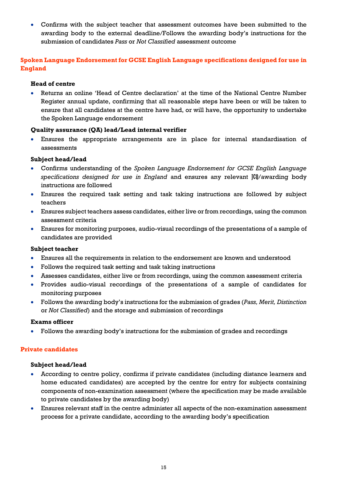Confirms with the subject teacher that assessment outcomes have been submitted to the awarding body to the external deadline/Follows the awarding body's instructions for the submission of candidates *Pass* or *Not Classified* assessment outcome

# <span id="page-14-0"></span>**Spoken Language Endorsement for GCSE English Language specifications designed for use in England**

## **Head of centre**

 Returns an online 'Head of Centre declaration' at the time of the National Centre Number Register annual update, confirming that all reasonable steps have been or will be taken to ensure that all candidates at the centre have had, or will have, the opportunity to undertake the Spoken Language endorsement

## **Quality assurance (QA) lead/Lead internal verifier**

 Ensures the appropriate arrangements are in place for internal standardisation of assessments

## **Subject head/lead**

- Confirms understanding of the *Spoken Language Endorsement for GCSE English Language specifications designed for use in England* and ensures any relevant JCQ/awarding body instructions are followed
- Ensures the required task setting and task taking instructions are followed by subject teachers
- Ensures subject teachers assess candidates, either live or from recordings, using the common assessment criteria
- Ensures for monitoring purposes, audio-visual recordings of the presentations of a sample of candidates are provided

## **Subject teacher**

- Ensures all the requirements in relation to the endorsement are known and understood
- Follows the required task setting and task taking instructions
- Assesses candidates, either live or from recordings, using the common assessment criteria
- Provides audio-visual recordings of the presentations of a sample of candidates for monitoring purposes
- Follows the awarding body's instructions for the submission of grades (*Pass, Merit, Distinction* or *Not Classified*) and the storage and submission of recordings

## **Exams officer**

Follows the awarding body's instructions for the submission of grades and recordings

## <span id="page-14-1"></span>**Private candidates**

## **Subject head/lead**

- According to centre policy, confirms if private candidates (including distance learners and home educated candidates) are accepted by the centre for entry for subjects containing components of non-examination assessment (where the specification may be made available to private candidates by the awarding body)
- Ensures relevant staff in the centre administer all aspects of the non-examination assessment process for a private candidate, according to the awarding body's specification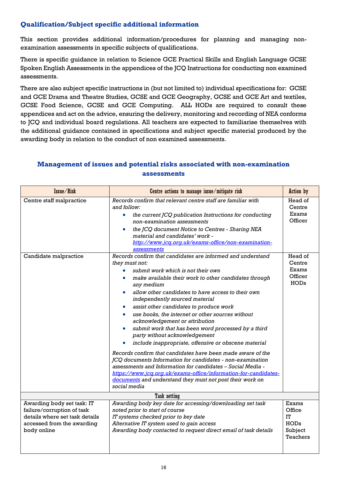# <span id="page-15-0"></span>**Qualification/Subject specific additional information**

This section provides additional information/procedures for planning and managing nonexamination assessments in specific subjects of qualifications.

There is specific guidance in relation to Science GCE Practical Skills and English Language GCSE Spoken English Assessments in the appendices of the JCQ Instructions for conducting non examined assessments.

There are also subject specific instructions in (but not limited to) individual specifications for: GCSE and GCE Drama and Theatre Studies, GCSE and GCE Geography, GCSE and GCE Art and textiles, GCSE Food Science, GCSE and GCE Computing. ALL HODs are required to consult these appendices and act on the advice, ensuring the delivery, monitoring and recording of NEA conforms to JCQ and individual board regulations. All teachers are expected to familiarise themselves with the additional guidance contained in specifications and subject specific material produced by the awarding body in relation to the conduct of non examined assessments.

# <span id="page-15-1"></span>**Management of issues and potential risks associated with non-examination assessments**

| Issue/Risk                                                                                                                              | Centre actions to manage issue/mitigate risk                                                                                                                                                                                                                                                                                                                                                                                                                                                                                                                                                                                                                                                                                                                                                                       | <b>Action</b> by                                                    |
|-----------------------------------------------------------------------------------------------------------------------------------------|--------------------------------------------------------------------------------------------------------------------------------------------------------------------------------------------------------------------------------------------------------------------------------------------------------------------------------------------------------------------------------------------------------------------------------------------------------------------------------------------------------------------------------------------------------------------------------------------------------------------------------------------------------------------------------------------------------------------------------------------------------------------------------------------------------------------|---------------------------------------------------------------------|
| Centre staff malpractice<br>Candidate malpractice                                                                                       | Records confirm that relevant centre staff are familiar with<br>and follow:<br>the current JCQ publication Instructions for conducting<br>$\bullet$<br>non-examination assessments<br>the JCQ document Notice to Centres - Sharing NEA<br>$\bullet$<br>material and candidates' work -<br>http://www.jcq.org.uk/exams-office/non-examination-<br>assessments<br>Records confirm that candidates are informed and understand<br>they must not:<br>submit work which is not their own                                                                                                                                                                                                                                                                                                                                | Head of<br>Centre<br>Exams<br>Officer<br>Head of<br>Centre<br>Exams |
|                                                                                                                                         | make available their work to other candidates through<br>any medium<br>allow other candidates to have access to their own<br>independently sourced material<br>assist other candidates to produce work<br>$\bullet$<br>use books, the internet or other sources without<br>acknowledgement or attribution<br>submit work that has been word processed by a third<br>$\bullet$<br>party without acknowledgement<br>include inappropriate, offensive or obscene material<br>Records confirm that candidates have been made aware of the<br>JCQ documents Information for candidates - non-examination<br>assessments and Information for candidates - Social Media -<br>https://www.jcq.org.uk/exams-office/information-for-candidates-<br>documents and understand they must not post their work on<br>social media | Officer<br><b>HODs</b>                                              |
|                                                                                                                                         | Task setting                                                                                                                                                                                                                                                                                                                                                                                                                                                                                                                                                                                                                                                                                                                                                                                                       |                                                                     |
| Awarding body set task: IT<br>failure/corruption of task<br>details where set task details<br>accessed from the awarding<br>body online | Awarding body key date for accessing/downloading set task<br>noted prior to start of course<br>IT systems checked prior to key date<br>Alternative IT system used to gain access<br>Awarding body contacted to request direct email of task details                                                                                                                                                                                                                                                                                                                                                                                                                                                                                                                                                                | Exams<br>Office<br>IT<br><b>HODs</b><br>Subject<br>Teachers         |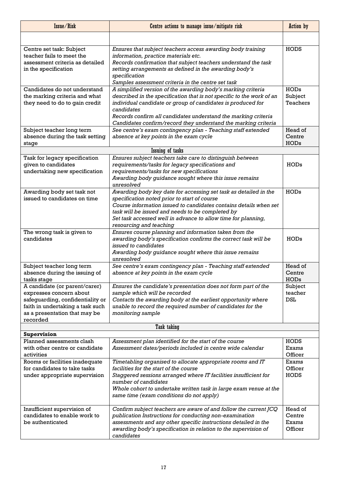| Issue/Risk                                                                                                                                                                    | Centre actions to manage issue/mitigate risk                                                                                                                                                                                                                                                                                                           | <b>Action</b> by                      |
|-------------------------------------------------------------------------------------------------------------------------------------------------------------------------------|--------------------------------------------------------------------------------------------------------------------------------------------------------------------------------------------------------------------------------------------------------------------------------------------------------------------------------------------------------|---------------------------------------|
|                                                                                                                                                                               |                                                                                                                                                                                                                                                                                                                                                        |                                       |
| Centre set task: Subject<br>teacher fails to meet the<br>assessment criteria as detailed<br>in the specification                                                              | Ensures that subject teachers access awarding body training<br>information, practice materials etc.<br>Records confirmation that subject teachers understand the task<br>setting arrangements as defined in the awarding body's<br>specification<br>Samples assessment criteria in the centre set task                                                 | <b>HODS</b>                           |
| Candidates do not understand<br>the marking criteria and what<br>they need to do to gain credit                                                                               | A simplified version of the awarding body's marking criteria<br>described in the specification that is not specific to the work of an<br>individual candidate or group of candidates is produced for<br>candidates<br>Records confirm all candidates understand the marking criteria<br>Candidates confirm/record they understand the marking criteria | <b>HODs</b><br>Subject<br>Teachers    |
| Subject teacher long term<br>absence during the task setting<br>stage                                                                                                         | See centre's exam contingency plan - Teaching staff extended<br>absence at key points in the exam cycle                                                                                                                                                                                                                                                | Head of<br>Centre<br><b>HODs</b>      |
|                                                                                                                                                                               | <b>Issuing of tasks</b>                                                                                                                                                                                                                                                                                                                                |                                       |
| Task for legacy specification<br>given to candidates<br>undertaking new specification                                                                                         | Ensures subject teachers take care to distinguish between<br>requirements/tasks for legacy specifications and<br>requirements/tasks for new specifications<br>Awarding body guidance sought where this issue remains<br>unresolved                                                                                                                     | <b>HODs</b>                           |
| Awarding body set task not<br>issued to candidates on time                                                                                                                    | Awarding body key date for accessing set task as detailed in the<br>specification noted prior to start of course<br>Course information issued to candidates contains details when set<br>task will be issued and needs to be completed by<br>Set task accessed well in advance to allow time for planning,<br>resourcing and teaching                  | <b>HODs</b>                           |
| The wrong task is given to<br>candidates                                                                                                                                      | Ensures course planning and information taken from the<br>awarding body's specification confirms the correct task will be<br>issued to candidates<br>Awarding body guidance sought where this issue remains<br>unresolved                                                                                                                              | <b>HODs</b>                           |
| Subject teacher long term<br>absence during the issuing of<br>tasks stage                                                                                                     | See centre's exam contingency plan - Teaching staff extended<br>absence at key points in the exam cycle                                                                                                                                                                                                                                                | Head of<br>Centre<br><b>HODs</b>      |
| A candidate (or parent/carer)<br>expresses concern about<br>safeguarding, confidentiality or<br>faith in undertaking a task such<br>as a presentation that may be<br>recorded | Ensures the candidate's presentation does not form part of the<br>sample which will be recorded<br>Contacts the awarding body at the earliest opportunity where<br>unable to record the required number of candidates for the<br>monitoring sample                                                                                                     | Subject<br>teacher<br><b>DSL</b>      |
|                                                                                                                                                                               | <b>Task taking</b>                                                                                                                                                                                                                                                                                                                                     |                                       |
| <b>Supervision</b><br>Planned assessments clash<br>with other centre or candidate<br>activities                                                                               | Assessment plan identified for the start of the course<br>Assessment dates/periods included in centre wide calendar                                                                                                                                                                                                                                    | <b>HODS</b><br>Exams<br>Officer       |
| Rooms or facilities inadequate<br>for candidates to take tasks<br>under appropriate supervision                                                                               | Timetabling organised to allocate appropriate rooms and IT<br>facilities for the start of the course<br>Staggered sessions arranged where IT facilities insufficient for<br>number of candidates<br>Whole cohort to undertake written task in large exam venue at the<br>same time (exam conditions do not apply)                                      | Exams<br>Officer<br><b>HODS</b>       |
| Insufficient supervision of<br>candidates to enable work to<br>be authenticated                                                                                               | Confirm subject teachers are aware of and follow the current JCQ<br>publication Instructions for conducting non-examination<br>assessments and any other specific instructions detailed in the<br>awarding body's specification in relation to the supervision of<br>candidates                                                                        | Head of<br>Centre<br>Exams<br>Officer |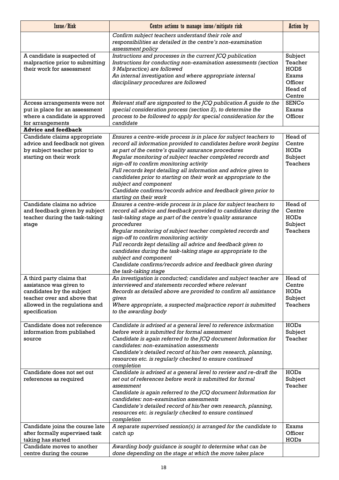| Issue/Risk                                                                                                                                                          | Centre actions to manage issue/mitigate risk                                                                                                                                                                                                                                                                                                                                                                                                                                                                                                                                   | <b>Action</b> by                                                           |
|---------------------------------------------------------------------------------------------------------------------------------------------------------------------|--------------------------------------------------------------------------------------------------------------------------------------------------------------------------------------------------------------------------------------------------------------------------------------------------------------------------------------------------------------------------------------------------------------------------------------------------------------------------------------------------------------------------------------------------------------------------------|----------------------------------------------------------------------------|
|                                                                                                                                                                     | Confirm subject teachers understand their role and<br>responsibilities as detailed in the centre's non-examination<br>assessment policy                                                                                                                                                                                                                                                                                                                                                                                                                                        |                                                                            |
| A candidate is suspected of<br>malpractice prior to submitting<br>their work for assessment                                                                         | Instructions and processes in the current JCQ publication<br>Instructions for conducting non-examination assessments (section<br>9 Malpractice) are followed<br>An internal investigation and where appropriate internal<br>disciplinary procedures are followed                                                                                                                                                                                                                                                                                                               | Subject<br>Teacher<br><b>HODS</b><br>Exams<br>Officer<br>Head of<br>Centre |
| Access arrangements were not<br>put in place for an assessment<br>where a candidate is approved<br>for arrangements                                                 | Relevant staff are signposted to the JCQ publication A guide to the<br>special consideration process (section 2), to determine the<br>process to be followed to apply for special consideration for the<br>candidate                                                                                                                                                                                                                                                                                                                                                           | <b>SENCo</b><br>Exams<br>Officer                                           |
| <b>Advice and feedback</b>                                                                                                                                          |                                                                                                                                                                                                                                                                                                                                                                                                                                                                                                                                                                                |                                                                            |
| Candidate claims appropriate<br>advice and feedback not given<br>by subject teacher prior to<br>starting on their work                                              | Ensures a centre-wide process is in place for subject teachers to<br>record all information provided to candidates before work begins<br>as part of the centre's quality assurance procedures<br>Regular monitoring of subject teacher completed records and<br>sign-off to confirm monitoring activity<br>Full records kept detailing all information and advice given to<br>candidates prior to starting on their work as appropriate to the<br>subject and component<br>Candidate confirms/records advice and feedback given prior to<br>starting on their work             | Head of<br>Centre<br><b>HODs</b><br>Subject<br><b>Teachers</b>             |
| Candidate claims no advice<br>and feedback given by subject<br>teacher during the task-taking<br>stage                                                              | Ensures a centre-wide process is in place for subject teachers to<br>record all advice and feedback provided to candidates during the<br>task-taking stage as part of the centre's quality assurance<br>procedures<br>Regular monitoring of subject teacher completed records and<br>sign-off to confirm monitoring activity<br>Full records kept detailing all advice and feedback given to<br>candidates during the task-taking stage as appropriate to the<br>subject and component<br>Candidate confirms/records advice and feedback given during<br>the task-taking stage | Head of<br>Centre<br><b>HODs</b><br>Subject<br><b>Teachers</b>             |
| A third party claims that<br>assistance was given to<br>candidates by the subject<br>teacher over and above that<br>allowed in the regulations and<br>specification | An investigation is conducted; candidates and subject teacher are<br>interviewed and statements recorded where relevant<br>Records as detailed above are provided to confirm all assistance<br>given<br>Where appropriate, a suspected malpractice report is submitted<br>to the awarding body                                                                                                                                                                                                                                                                                 | Head of<br>Centre<br><b>HODs</b><br>Subject<br>Teachers                    |
| Candidate does not reference<br>information from published<br>source                                                                                                | Candidate is advised at a general level to reference information<br>before work is submitted for formal assessment<br>Candidate is again referred to the JCQ document Information for<br>candidates: non-examination assessments<br>Candidate's detailed record of his/her own research, planning,<br>resources etc. is regularly checked to ensure continued<br>completion                                                                                                                                                                                                    | <b>HODs</b><br>Subject<br>Teacher                                          |
| Candidate does not set out<br>references as required                                                                                                                | Candidate is advised at a general level to review and re-draft the<br>set out of references before work is submitted for formal<br>assessment<br>Candidate is again referred to the JCQ document Information for<br>candidates: non-examination assessments<br>Candidate's detailed record of his/her own research, planning,<br>resources etc. is regularly checked to ensure continued<br>completion                                                                                                                                                                         | <b>HODs</b><br>Subject<br>Teacher                                          |
| Candidate joins the course late<br>after formally supervised task<br>taking has started<br>Candidate moves to another                                               | A separate supervised session(s) is arranged for the candidate to<br>catch up<br>Awarding body guidance is sought to determine what can be                                                                                                                                                                                                                                                                                                                                                                                                                                     | Exams<br>Officer<br><b>HODs</b>                                            |
| centre during the course                                                                                                                                            | done depending on the stage at which the move takes place                                                                                                                                                                                                                                                                                                                                                                                                                                                                                                                      |                                                                            |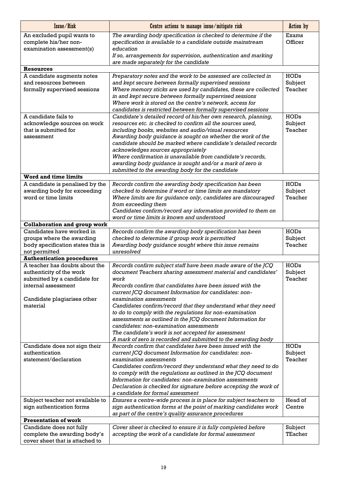| Issue/Risk                                                     | Centre actions to manage issue/mitigate risk                                                                                 | <b>Action</b> by       |
|----------------------------------------------------------------|------------------------------------------------------------------------------------------------------------------------------|------------------------|
| An excluded pupil wants to                                     | The awarding body specification is checked to determine if the                                                               | Exams                  |
| complete his/her non-                                          | specification is available to a candidate outside mainstream                                                                 | Officer                |
| examination assessment(s)                                      | education                                                                                                                    |                        |
|                                                                | If so, arrangements for supervision, authentication and marking<br>are made separately for the candidate                     |                        |
| <b>Resources</b>                                               |                                                                                                                              |                        |
| A candidate augments notes                                     | Preparatory notes and the work to be assessed are collected in                                                               | <b>HODs</b>            |
| and resources between                                          | and kept secure between formally supervised sessions                                                                         | Subject                |
| formally supervised sessions                                   | Where memory sticks are used by candidates, these are collected                                                              | Teacher                |
|                                                                | in and kept secure between formally supervised sessions                                                                      |                        |
|                                                                | Where work is stored on the centre's network, access for                                                                     |                        |
|                                                                | candidates is restricted between formally supervised sessions                                                                |                        |
| A candidate fails to<br>acknowledge sources on work            | Candidate's detailed record of his/her own research, planning,<br>resources etc. is checked to confirm all the sources used, | <b>HODs</b><br>Subject |
| that is submitted for                                          | including books, websites and audio/visual resources                                                                         | Teacher                |
| assessment                                                     | Awarding body guidance is sought on whether the work of the                                                                  |                        |
|                                                                | candidate should be marked where candidate's detailed records                                                                |                        |
|                                                                | acknowledges sources appropriately                                                                                           |                        |
|                                                                | Where confirmation is unavailable from candidate's records,                                                                  |                        |
|                                                                | awarding body guidance is sought and/or a mark of zero is                                                                    |                        |
| <b>Word and time limits</b>                                    | submitted to the awarding body for the candidate                                                                             |                        |
| A candidate is penalised by the                                | Records confirm the awarding body specification has been                                                                     | <b>HODs</b>            |
| awarding body for exceeding                                    | checked to determine if word or time limits are mandatory                                                                    | Subject                |
| word or time limits                                            | Where limits are for guidance only, candidates are discouraged                                                               | Teacher                |
|                                                                | from exceeding them                                                                                                          |                        |
|                                                                | Candidates confirm/record any information provided to them on                                                                |                        |
|                                                                | word or time limits is known and understood                                                                                  |                        |
| <b>Collaboration and group work</b>                            |                                                                                                                              |                        |
| Candidates have worked in                                      | Records confirm the awarding body specification has been                                                                     | <b>HODs</b>            |
| groups where the awarding<br>body specification states this is | checked to determine if group work is permitted<br>Awarding body guidance sought where this issue remains                    | Subject<br>Teacher     |
| not permitted                                                  | unresolved                                                                                                                   |                        |
| <b>Authentication procedures</b>                               |                                                                                                                              |                        |
| A teacher has doubts about the                                 | Records confirm subject staff have been made aware of the JCQ                                                                | <b>HODs</b>            |
| authenticity of the work                                       | document Teachers sharing assessment material and candidates'                                                                | Subject                |
| submitted by a candidate for                                   | work                                                                                                                         | Teacher                |
| internal assessment                                            | Records confirm that candidates have been issued with the                                                                    |                        |
|                                                                | current JCQ document Information for candidates: non-<br>examination assessments                                             |                        |
| Candidate plagiarises other<br>material                        | Candidates confirm/record that they understand what they need                                                                |                        |
|                                                                | to do to comply with the regulations for non-examination                                                                     |                        |
|                                                                | assessments as outlined in the JCQ document Information for                                                                  |                        |
|                                                                | candidates: non-examination assessments                                                                                      |                        |
|                                                                | The candidate's work is not accepted for assessment                                                                          |                        |
|                                                                | A mark of zero is recorded and submitted to the awarding body                                                                |                        |
| Candidate does not sign their<br>authentication                | Records confirm that candidates have been issued with the                                                                    | <b>HODs</b><br>Subject |
| statement/declaration                                          | current JCQ document Information for candidates: non-<br>examination assessments                                             | Teacher                |
|                                                                | Candidates confirm/record they understand what they need to do                                                               |                        |
|                                                                | to comply with the regulations as outlined in the JCQ document                                                               |                        |
|                                                                | Information for candidates: non-examination assessments                                                                      |                        |
|                                                                | Declaration is checked for signature before accepting the work of                                                            |                        |
|                                                                | a candidate for formal assessment                                                                                            |                        |
| Subject teacher not available to                               | Ensures a centre-wide process is in place for subject teachers to                                                            | Head of                |
| sign authentication forms                                      | sign authentication forms at the point of marking candidates work<br>as part of the centre's quality assurance procedures    | Centre                 |
| <b>Presentation of work</b>                                    |                                                                                                                              |                        |
| Candidate does not fully                                       | Cover sheet is checked to ensure it is fully completed before                                                                | Subject                |
| complete the awarding body's                                   | accepting the work of a candidate for formal assessment                                                                      | TEacher                |
| cover sheet that is attached to                                |                                                                                                                              |                        |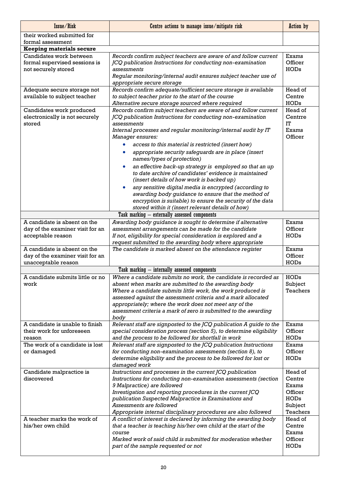| Issue/Risk                                      | Centre actions to manage issue/mitigate risk                                                    | <b>Action</b> by  |
|-------------------------------------------------|-------------------------------------------------------------------------------------------------|-------------------|
| their worked submitted for<br>formal assessment |                                                                                                 |                   |
| <b>Keeping materials secure</b>                 |                                                                                                 |                   |
| Candidates work between                         | Records confirm subject teachers are aware of and follow current                                | Exams             |
| formal supervised sessions is                   | JCQ publication Instructions for conducting non-examination                                     | Officer           |
| not securely stored                             | assessments                                                                                     | <b>HODs</b>       |
|                                                 | Regular monitoring/internal audit ensures subject teacher use of                                |                   |
|                                                 | appropriate secure storage                                                                      |                   |
| Adequate secure storage not                     | Records confirm adequate/sufficient secure storage is available                                 | Head of           |
| available to subject teacher                    | to subject teacher prior to the start of the course                                             | Centre            |
|                                                 | Alternative secure storage sourced where required                                               | <b>HODs</b>       |
| Candidates work produced                        | Records confirm subject teachers are aware of and follow current                                | Head of           |
| electronically is not securely                  | JCQ publication Instructions for conducting non-examination                                     | Centrre           |
| stored                                          | assessments                                                                                     | <b>IT</b>         |
|                                                 | Internal processes and regular monitoring/internal audit by IT                                  | Exams             |
|                                                 | Manager ensures:                                                                                | Officer           |
|                                                 | access to this material is restricted (insert how)                                              |                   |
|                                                 | appropriate security safeguards are in place (insert<br>names/types of protection)              |                   |
|                                                 | an effective back-up strategy is employed so that an up                                         |                   |
|                                                 | to date archive of candidates' evidence is maintained                                           |                   |
|                                                 | (insert details of how work is backed up)                                                       |                   |
|                                                 | any sensitive digital media is encrypted (according to                                          |                   |
|                                                 | awarding body guidance to ensure that the method of                                             |                   |
|                                                 | encryption is suitable) to ensure the security of the data                                      |                   |
|                                                 | stored within it (insert relevant details of how)                                               |                   |
|                                                 | Task marking - externally assessed components                                                   |                   |
| A candidate is absent on the                    | Awarding body guidance is sought to determine if alternative                                    | Exams             |
| day of the examiner visit for an                | assessment arrangements can be made for the candidate                                           | Officer           |
| acceptable reason                               | If not, eligibility for special consideration is explored and a                                 | <b>HODs</b>       |
|                                                 | request submitted to the awarding body where appropriate                                        |                   |
| A candidate is absent on the                    | The candidate is marked absent on the attendance register                                       | Exams             |
| day of the examiner visit for an                |                                                                                                 | Officer           |
| unacceptable reason                             |                                                                                                 | <b>HODs</b>       |
|                                                 | Task marking - internally assessed components                                                   |                   |
| A candidate submits little or no                | Where a candidate submits no work, the candidate is recorded as                                 | <b>HODs</b>       |
| work                                            | absent when marks are submitted to the awarding body                                            | Subject           |
|                                                 | Where a candidate submits little work, the work produced is                                     | Teachers          |
|                                                 | assessed against the assessment criteria and a mark allocated                                   |                   |
|                                                 | appropriately; where the work does not meet any of the                                          |                   |
|                                                 | assessment criteria a mark of zero is submitted to the awarding                                 |                   |
|                                                 | body                                                                                            |                   |
| A candidate is unable to finish                 | Relevant staff are signposted to the JCQ publication A guide to the                             | Exams             |
| their work for unforeseen                       | special consideration process (section 5), to determine eligibility                             | Officer           |
| reason                                          | and the process to be followed for shortfall in work                                            | <b>HODs</b>       |
| The work of a candidate is lost                 | Relevant staff are signposted to the JCQ publication Instructions                               | Exams             |
| or damaged                                      | for conducting non-examination assessments (section 8), to                                      | Officer           |
|                                                 | determine eligibility and the process to be followed for lost or                                | <b>HODs</b>       |
|                                                 | damaged work                                                                                    |                   |
| Candidate malpractice is<br>discovered          | Instructions and processes in the current JCQ publication                                       | Head of<br>Centre |
|                                                 | Instructions for conducting non-examination assessments (section<br>9 Malpractice) are followed | Exams             |
|                                                 | Investigation and reporting procedures in the current JCQ                                       | Officer           |
|                                                 | publication Suspected Malpractice in Examinations and                                           | <b>HODs</b>       |
|                                                 | Assessments are followed                                                                        | Subject           |
|                                                 | Appropriate internal disciplinary procedures are also followed                                  | Teachers          |
| A teacher marks the work of                     | A conflict of interest is declared by informing the awarding body                               | Head of           |
| his/her own child                               | that a teacher is teaching his/her own child at the start of the                                | Centre            |
|                                                 | course                                                                                          | Exams             |
|                                                 | Marked work of said child is submitted for moderation whether                                   | Officer           |
|                                                 | part of the sample requested or not                                                             | <b>HODs</b>       |
|                                                 |                                                                                                 |                   |